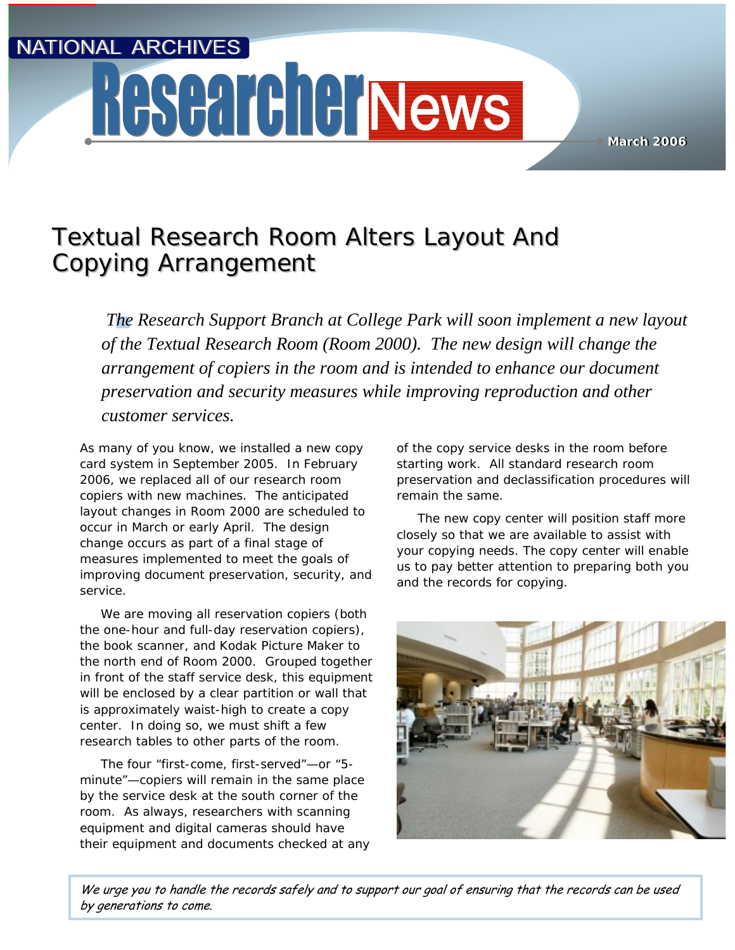**NATIONAL ARCHIVES** 

# **Researcher News**

Textual Research Room Alters Layout And Textual Research Room Alters Layout And Copying Arrangement Copying Arrangement

 $\begin{array}{c} \n 7 \\
0 \\
a \\
p\n \end{array}$ *The Research Support Branch at College Park will soon implement a new layout of the Textual Research Room (Room 2000). The new design will change the arrangement of copiers in the room and is intended to enhance our document preservation and security measures while improving reproduction and other customer services.*

As many of you know, we installed a new copy card system in September 2005. In February 2006, we replaced all of our research room copiers with new machines. The anticipated layout changes in Room 2000 are scheduled to occur in March or early April. The design change occurs as part of a final stage of measures implemented to meet the goals of improving document preservation, security, and service.

We are moving all reservation copiers (both the one-hour and full-day reservation copiers), the book scanner, and Kodak Picture Maker to the north end of Room 2000. Grouped together in front of the staff service desk, this equipment will be enclosed by a clear partition or wall that is approximately waist-high to create a copy center. In doing so, we must shift a few research tables to other parts of the room.

The four "first-come, first-served"—or "5 minute"—copiers will remain in the same place by the service desk at the south corner of the room. As always, researchers with scanning equipment and digital cameras should have their equipment and documents checked at any of the copy service desks in the room before starting work. All standard research room preservation and declassification procedures will remain the same.

**March 2006 March 2006**

The new copy center will position staff more closely so that we are available to assist with your copying needs. The copy center will enable us to pay better attention to preparing both you and the records for copying.



We urge you to handle the records safely and to support our goal of ensuring that the records can be used by generations to come.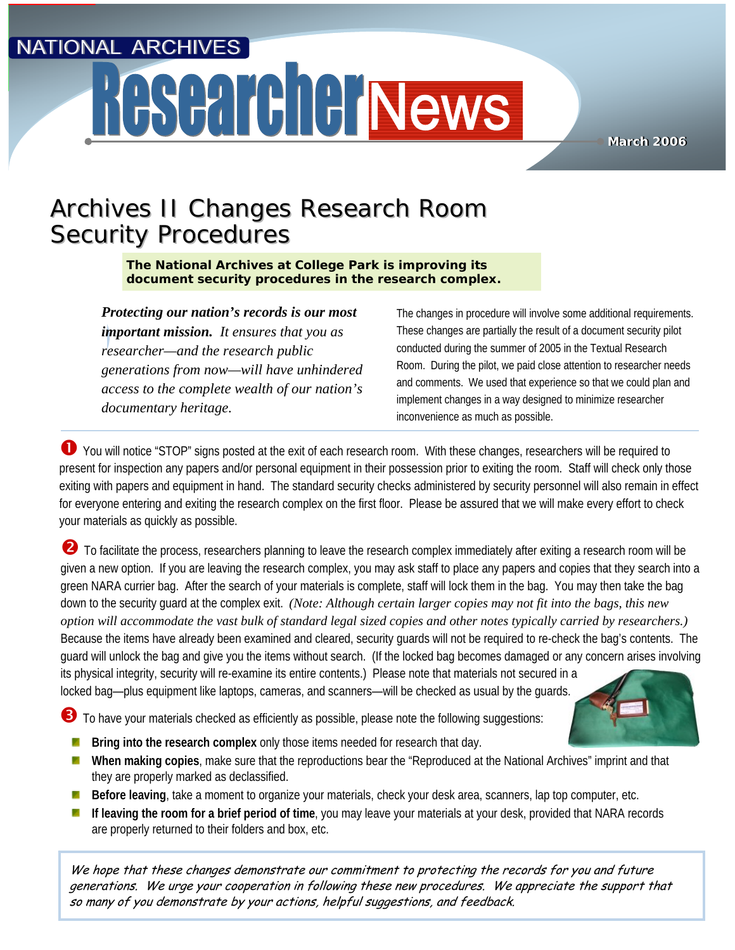**NATIONAL ARCHIVES** 

## Researcher News

**March 2006 March 2006**

## Archives II Changes Research Room Archives II Changes Research Room Security Procedures Security Procedures

**The National Archives at College Park is improving its document security procedures in the research complex.** 

*Protecting our nation's records is our most important mission. It ensures that you as researcher—and the research public generations from now—will have unhindered access to the complete wealth of our nation's documentary heritage.*

The changes in procedure will involve some additional requirements. These changes are partially the result of a document security pilot conducted during the summer of 2005 in the Textual Research Room. During the pilot, we paid close attention to researcher needs and comments. We used that experience so that we could plan and implement changes in a way designed to minimize researcher inconvenience as much as possible.

n You will notice "STOP" signs posted at the exit of each research room. With these changes, researchers will be required to present for inspection any papers and/or personal equipment in their possession prior to exiting the room. Staff will check only those exiting with papers and equipment in hand. The standard security checks administered by security personnel will also remain in effect for everyone entering and exiting the research complex on the first floor. Please be assured that we will make every effort to check your materials as quickly as possible.

**2** To facilitate the process, researchers planning to leave the research complex immediately after exiting a research room will be given a new option. If you are leaving the research complex, you may ask staff to place any papers and copies that they search into a green NARA currier bag. After the search of your materials is complete, staff will lock them in the bag. You may then take the bag down to the security guard at the complex exit. *(Note: Although certain larger copies may not fit into the bags, this new option will accommodate the vast bulk of standard legal sized copies and other notes typically carried by researchers.)* Because the items have already been examined and cleared, security guards will not be required to re-check the bag's contents. The guard will unlock the bag and give you the items without search. (If the locked bag becomes damaged or any concern arises involving its physical integrity, security will re-examine its entire contents.) Please note that materials not secured in a locked bag—plus equipment like laptops, cameras, and scanners—will be checked as usual by the guards.

**3** To have your materials checked as efficiently as possible, please note the following suggestions:

- **Bring into the research complex** only those items needed for research that day.
- **When making copies**, make sure that the reproductions bear the "Reproduced at the National Archives" imprint and that they are properly marked as declassified.
- **Before leaving**, take a moment to organize your materials, check your desk area, scanners, lap top computer, etc. ×
- **If leaving the room for a brief period of time**, you may leave your materials at your desk, provided that NARA records × are properly returned to their folders and box, etc.

We hope that these changes demonstrate our commitment to protecting the records for you and future generations. We urge your cooperation in following these new procedures. We appreciate the support that so many of you demonstrate by your actions, helpful suggestions, and feedback.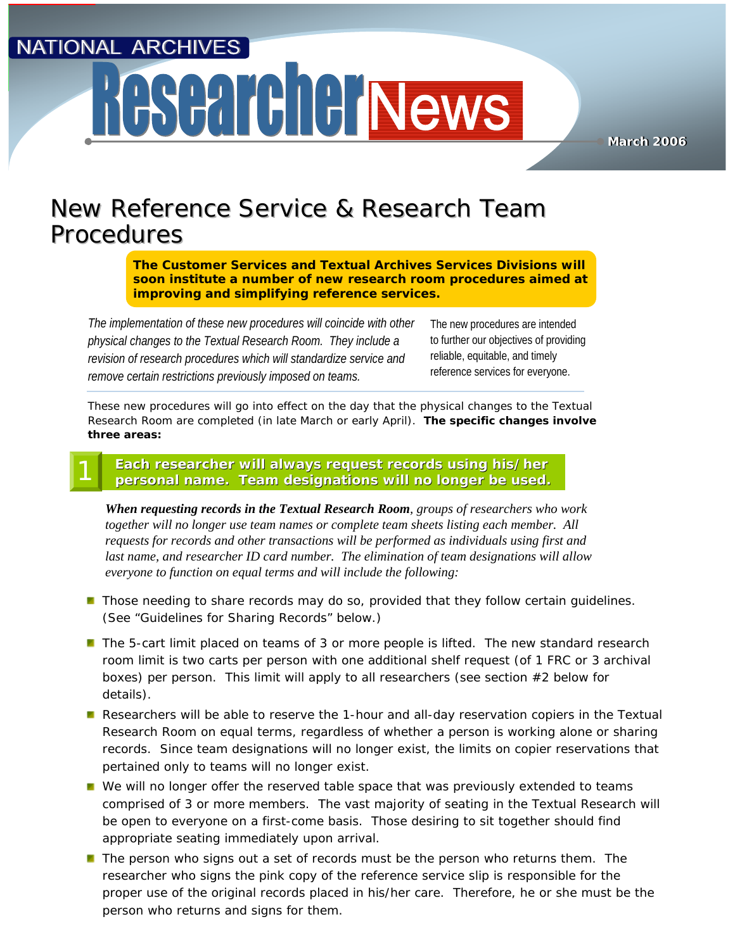NATIONAL ARCHIVES

## **ASCATCIC News**

**March 2006 March 2006**

### New Reference Service & Research Team New Reference Service & Research Team Procedures Procedures

**The Customer Services and Textual Archives Services Divisions will soon institute a number of new research room procedures aimed at improving and simplifying reference services.**

*The implementation of these new procedures will coincide with other physical changes to the Textual Research Room. They include a revision of research procedures which will standardize service and remove certain restrictions previously imposed on teams.* 

The new procedures are intended to further our objectives of providing reliable, equitable, and timely reference services for everyone.

These new procedures will go into effect on the day that the physical changes to the Textual Research Room are completed (in late March or early April). **The specific changes involve three areas:**

#### **Each researcher will always request records using his/her**  Each researcher will always request records using his/her<br>personal name. Team designations will no longer be used. 1

*When requesting records in the Textual Research Room, groups of researchers who work together will no longer use team names or complete team sheets listing each member. All requests for records and other transactions will be performed as individuals using first and last name, and researcher ID card number. The elimination of team designations will allow everyone to function on equal terms and will include the following:*

- **Those needing to share records may do so, provided that they follow certain guidelines.** (See "Guidelines for Sharing Records" below.)
- **The 5-cart limit placed on teams of 3 or more people is lifted. The new standard research** room limit is two carts per person with one additional shelf request (of 1 FRC or 3 archival boxes) per person. This limit will apply to all researchers (see section #2 below for details).
- Researchers will be able to reserve the 1-hour and all-day reservation copiers in the Textual Research Room on equal terms, regardless of whether a person is working alone or sharing records. Since team designations will no longer exist, the limits on copier reservations that pertained only to teams will no longer exist.
- **Notable We will no longer offer the reserved table space that was previously extended to teams** comprised of 3 or more members. The vast majority of seating in the Textual Research will be open to everyone on a first-come basis. Those desiring to sit together should find appropriate seating immediately upon arrival.
- $\blacksquare$  The person who signs out a set of records must be the person who returns them. The researcher who signs the pink copy of the reference service slip is responsible for the proper use of the original records placed in his/her care. Therefore, he or she must be the person who returns and signs for them.